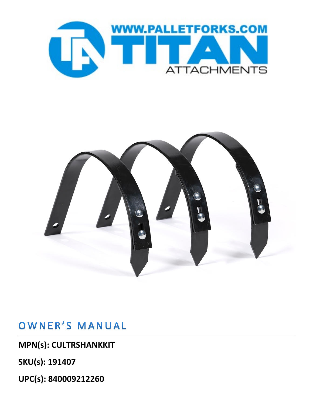



## OWNER'S MANUAL

**MPN(s): CULTRSHANKKIT**

**SKU(s): 191407**

**UPC(s): 840009212260**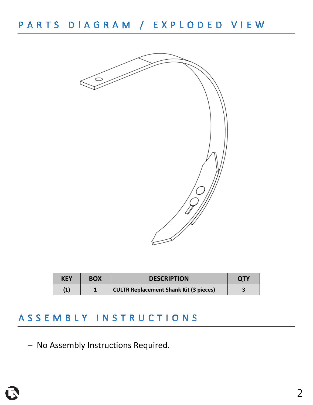

| <b>KEY</b> | <b>BOX</b> | <b>DESCRIPTION</b>                            | <b>QTY</b> |
|------------|------------|-----------------------------------------------|------------|
| (1)        |            | <b>CULTR Replacement Shank Kit (3 pieces)</b> |            |

## ASSEMBLY INSTRUCTIONS

− No Assembly Instructions Required.